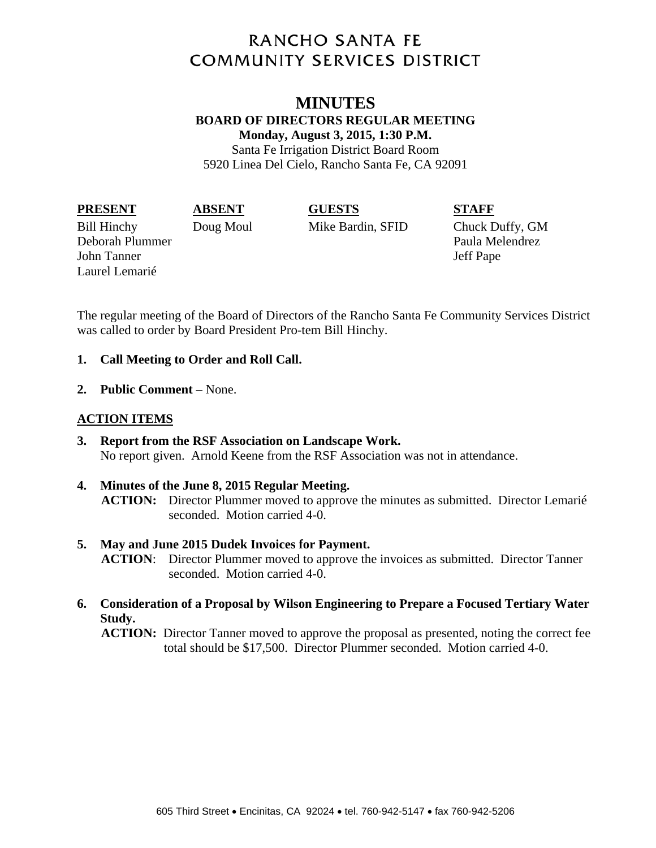# **RANCHO SANTA FE COMMUNITY SERVICES DISTRICT**

# **MINUTES BOARD OF DIRECTORS REGULAR MEETING Monday, August 3, 2015, 1:30 P.M.**

Santa Fe Irrigation District Board Room 5920 Linea Del Cielo, Rancho Santa Fe, CA 92091

#### **PRESENT ABSENT GUESTS STAFF**

Bill Hinchy Doug Moul Mike Bardin, SFID Chuck Duffy, GM Deborah Plummer Paula Melendrez John Tanner Jeff Pape Laurel Lemarié

The regular meeting of the Board of Directors of the Rancho Santa Fe Community Services District was called to order by Board President Pro-tem Bill Hinchy.

## **1. Call Meeting to Order and Roll Call.**

**2. Public Comment** – None.

# **ACTION ITEMS**

- **3. Report from the RSF Association on Landscape Work.**  No report given. Arnold Keene from the RSF Association was not in attendance.
- **4. Minutes of the June 8, 2015 Regular Meeting. ACTION:** Director Plummer moved to approve the minutes as submitted. Director Lemarié seconded. Motion carried 4-0.
- **5. May and June 2015 Dudek Invoices for Payment. ACTION**: Director Plummer moved to approve the invoices as submitted. Director Tanner seconded. Motion carried 4-0.
- **6. Consideration of a Proposal by Wilson Engineering to Prepare a Focused Tertiary Water Study.**

**ACTION:** Director Tanner moved to approve the proposal as presented, noting the correct fee total should be \$17,500. Director Plummer seconded. Motion carried 4-0.